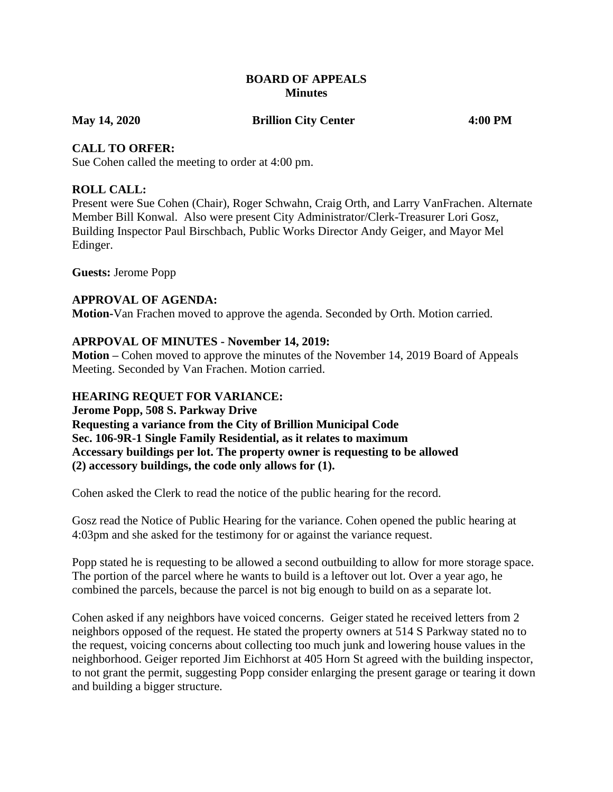### **BOARD OF APPEALS Minutes**

**May 14, 2020 Brillion City Center 4:00 PM**

### **CALL TO ORFER:**

Sue Cohen called the meeting to order at 4:00 pm.

## **ROLL CALL:**

Present were Sue Cohen (Chair), Roger Schwahn, Craig Orth, and Larry VanFrachen. Alternate Member Bill Konwal. Also were present City Administrator/Clerk-Treasurer Lori Gosz, Building Inspector Paul Birschbach, Public Works Director Andy Geiger, and Mayor Mel Edinger.

**Guests:** Jerome Popp

## **APPROVAL OF AGENDA:**

**Motion-**Van Frachen moved to approve the agenda. Seconded by Orth. Motion carried.

## **APRPOVAL OF MINUTES - November 14, 2019:**

**Motion –** Cohen moved to approve the minutes of the November 14, 2019 Board of Appeals Meeting. Seconded by Van Frachen. Motion carried.

### **HEARING REQUET FOR VARIANCE:**

**Jerome Popp, 508 S. Parkway Drive Requesting a variance from the City of Brillion Municipal Code Sec. 106-9R-1 Single Family Residential, as it relates to maximum Accessary buildings per lot. The property owner is requesting to be allowed (2) accessory buildings, the code only allows for (1).**

Cohen asked the Clerk to read the notice of the public hearing for the record.

Gosz read the Notice of Public Hearing for the variance. Cohen opened the public hearing at 4:03pm and she asked for the testimony for or against the variance request.

Popp stated he is requesting to be allowed a second outbuilding to allow for more storage space. The portion of the parcel where he wants to build is a leftover out lot. Over a year ago, he combined the parcels, because the parcel is not big enough to build on as a separate lot.

Cohen asked if any neighbors have voiced concerns. Geiger stated he received letters from 2 neighbors opposed of the request. He stated the property owners at 514 S Parkway stated no to the request, voicing concerns about collecting too much junk and lowering house values in the neighborhood. Geiger reported Jim Eichhorst at 405 Horn St agreed with the building inspector, to not grant the permit, suggesting Popp consider enlarging the present garage or tearing it down and building a bigger structure.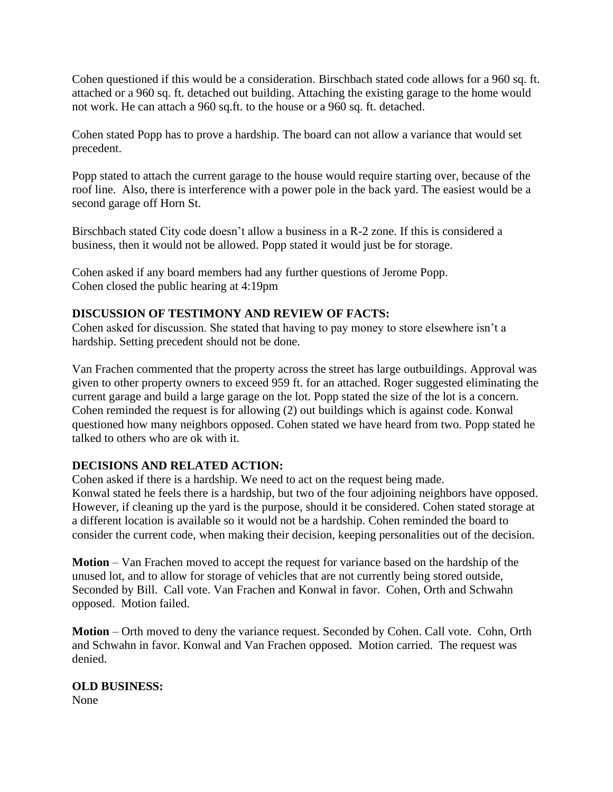Cohen questioned if this would be a consideration. Birschbach stated code allows for a 960 sq. ft. attached or a 960 sq. ft. detached out building. Attaching the existing garage to the home would not work. He can attach a 960 sq.ft. to the house or a 960 sq. ft. detached.

Cohen stated Popp has to prove a hardship. The board can not allow a variance that would set precedent.

Popp stated to attach the current garage to the house would require starting over, because of the roof line. Also, there is interference with a power pole in the back yard. The easiest would be a second garage off Horn St.

Birschbach stated City code doesn't allow a business in a R-2 zone. If this is considered a business, then it would not be allowed. Popp stated it would just be for storage.

Cohen asked if any board members had any further questions of Jerome Popp. Cohen closed the public hearing at 4:19pm

## **DISCUSSION OF TESTIMONY AND REVIEW OF FACTS:**

Cohen asked for discussion. She stated that having to pay money to store elsewhere isn't a hardship. Setting precedent should not be done.

Van Frachen commented that the property across the street has large outbuildings. Approval was given to other property owners to exceed 959 ft. for an attached. Roger suggested eliminating the current garage and build a large garage on the lot. Popp stated the size of the lot is a concern. Cohen reminded the request is for allowing (2) out buildings which is against code. Konwal questioned how many neighbors opposed. Cohen stated we have heard from two. Popp stated he talked to others who are ok with it.

## **DECISIONS AND RELATED ACTION:**

Cohen asked if there is a hardship. We need to act on the request being made. Konwal stated he feels there is a hardship, but two of the four adjoining neighbors have opposed. However, if cleaning up the yard is the purpose, should it be considered. Cohen stated storage at a different location is available so it would not be a hardship. Cohen reminded the board to consider the current code, when making their decision, keeping personalities out of the decision.

**Motion** – Van Frachen moved to accept the request for variance based on the hardship of the unused lot, and to allow for storage of vehicles that are not currently being stored outside, Seconded by Bill. Call vote. Van Frachen and Konwal in favor. Cohen, Orth and Schwahn opposed. Motion failed.

**Motion** – Orth moved to deny the variance request. Seconded by Cohen. Call vote. Cohn, Orth and Schwahn in favor. Konwal and Van Frachen opposed. Motion carried. The request was denied.

## **OLD BUSINESS:**

None